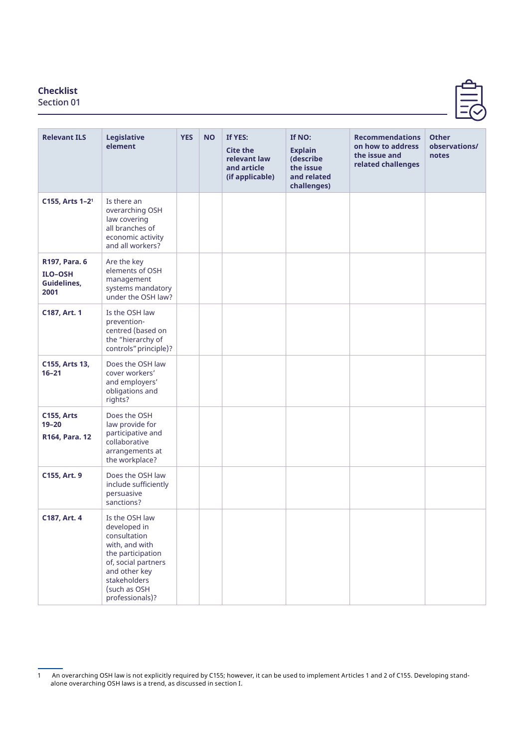## **Checklist**

Section 01

| <b>Relevant ILS</b>                                    | <b>Legislative</b><br>element                                                                                                                                                    | <b>YES</b> | <b>NO</b> | If YES:<br><b>Cite the</b><br>relevant law<br>and article<br>(if applicable) | If NO:<br><b>Explain</b><br>(describe<br>the issue<br>and related<br>challenges) | <b>Recommendations</b><br>on how to address<br>the issue and<br>related challenges | <b>Other</b><br>observations/<br>notes |
|--------------------------------------------------------|----------------------------------------------------------------------------------------------------------------------------------------------------------------------------------|------------|-----------|------------------------------------------------------------------------------|----------------------------------------------------------------------------------|------------------------------------------------------------------------------------|----------------------------------------|
| C155, Arts 1-2 <sup>1</sup>                            | Is there an<br>overarching OSH<br>law covering<br>all branches of<br>economic activity<br>and all workers?                                                                       |            |           |                                                                              |                                                                                  |                                                                                    |                                        |
| R197, Para. 6<br><b>ILO-OSH</b><br>Guidelines,<br>2001 | Are the key<br>elements of OSH<br>management<br>systems mandatory<br>under the OSH law?                                                                                          |            |           |                                                                              |                                                                                  |                                                                                    |                                        |
| C187, Art. 1                                           | Is the OSH law<br>prevention-<br>centred (based on<br>the "hierarchy of<br>controls" principle)?                                                                                 |            |           |                                                                              |                                                                                  |                                                                                    |                                        |
| C155, Arts 13,<br>$16 - 21$                            | Does the OSH law<br>cover workers'<br>and employers'<br>obligations and<br>rights?                                                                                               |            |           |                                                                              |                                                                                  |                                                                                    |                                        |
| <b>C155, Arts</b><br>$19 - 20$<br>R164, Para. 12       | Does the OSH<br>law provide for<br>participative and<br>collaborative<br>arrangements at<br>the workplace?                                                                       |            |           |                                                                              |                                                                                  |                                                                                    |                                        |
| C155, Art. 9                                           | Does the OSH law<br>include sufficiently<br>persuasive<br>sanctions?                                                                                                             |            |           |                                                                              |                                                                                  |                                                                                    |                                        |
| C187, Art. 4                                           | Is the OSH law<br>developed in<br>consultation<br>with, and with<br>the participation<br>of, social partners<br>and other key<br>stakeholders<br>(such as OSH<br>professionals)? |            |           |                                                                              |                                                                                  |                                                                                    |                                        |

<sup>1</sup> An overarching OSH law is not explicitly required by C155; however, it can be used to implement Articles 1 and 2 of C155. Developing standalone overarching OSH laws is a trend, as discussed in section I.